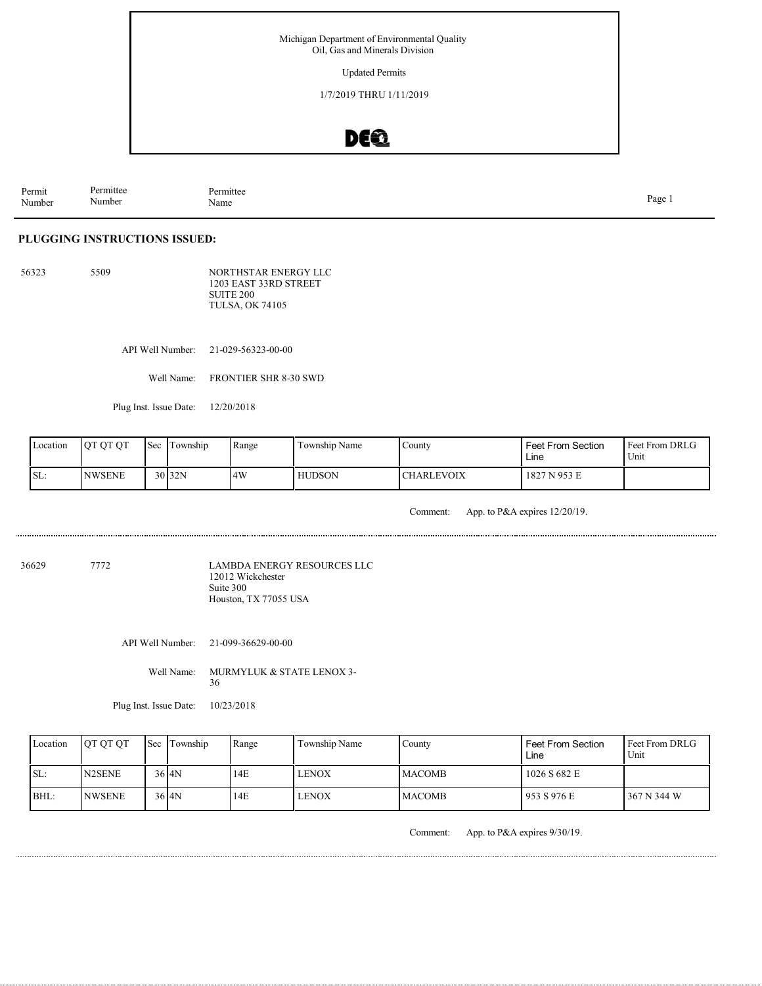Updated Permits

1/7/2019 THRU 1/11/2019

### DE®

Permit Number Permittee Number Permittee Name Page 1

### **PLUGGING INSTRUCTIONS ISSUED:**

56323 5509 NORTHSTAR ENERGY LLC 1203 EAST 33RD STREET SUITE 200 TULSA, OK 74105

API Well Number: 21-029-56323-00-00

Well Name: FRONTIER SHR 8-30 SWD

Plug Inst. Issue Date: 12/20/2018

| Location         | <b>OT OT OT</b> | $\mathsf{S}\text{ec}$ | i Township        | Range | $\mathbf{r}$<br>Township Name | County            | Feet From Section<br>Line | l Feet From DRLG<br>Unit |
|------------------|-----------------|-----------------------|-------------------|-------|-------------------------------|-------------------|---------------------------|--------------------------|
| $\mathsf{ISL}$ : | <b>NWSENE</b>   |                       | 30 <sub>32N</sub> | 4W    | <b>HUDSON</b>                 | <b>CHARLEVOIX</b> | 1827 N 953 E              |                          |

Comment: App. to P&A expires 12/20/19.

36629 7772

LAMBDA ENERGY RESOURCES LLC 12012 Wickchester Suite 300 Houston, TX 77055 USA

API Well Number: 21-099-36629-00-00

Well Name: MURMYLUK & STATE LENOX 3-36

Plug Inst. Issue Date: 10/23/2018

| Location | <b>OT OT OT</b>                 | <b>Sec</b> Township | Range | Township Name | Countv         | <b>Feet From Section</b><br>Line | <b>Feet From DRLG</b><br>Unit |
|----------|---------------------------------|---------------------|-------|---------------|----------------|----------------------------------|-------------------------------|
| SL:      | N <sub>2</sub> SEN <sub>E</sub> | $36$ $4N$           | 14E   | LENOX         | <b>IMACOMB</b> | 1026 S 682 E                     |                               |
| BHL:     | <b>INWSENE</b>                  | $36$ $4N$           | 14E   | LENOX         | <b>IMACOMB</b> | 1953 S 976 E                     | 367 N 344 W                   |

Comment: App. to P&A expires 9/30/19.

............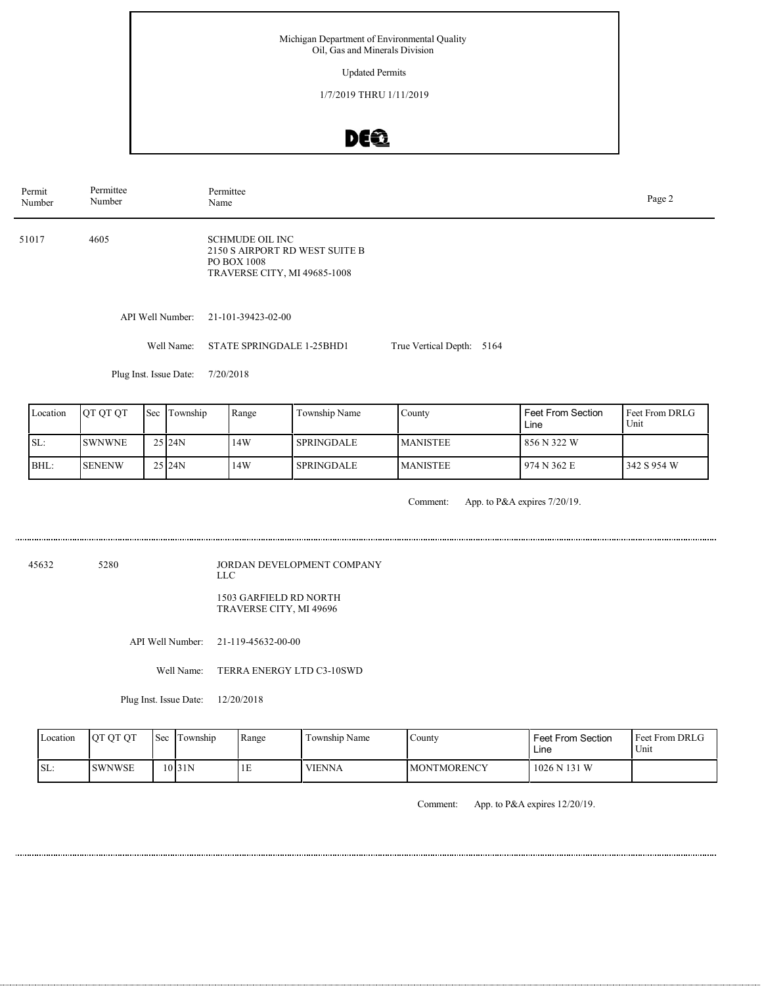Updated Permits

1/7/2019 THRU 1/11/2019

# DEQ

| Permit<br>Number | Permittee<br>Number | Permittee<br>Name                                                                                |                           |  |  |  |  |  |
|------------------|---------------------|--------------------------------------------------------------------------------------------------|---------------------------|--|--|--|--|--|
| 51017            | 4605                | SCHMUDE OIL INC<br>2150 S AIRPORT RD WEST SUITE B<br>PO BOX 1008<br>TRAVERSE CITY, MI 49685-1008 |                           |  |  |  |  |  |
|                  | API Well Number:    | 21-101-39423-02-00                                                                               |                           |  |  |  |  |  |
|                  | Well Name:          | STATE SPRINGDALE 1-25BHD1                                                                        | True Vertical Depth: 5164 |  |  |  |  |  |

Plug Inst. Issue Date: 7/20/2018

| Location | <b>OT OT OT</b> | Sec 1 | Township | Range | Township Name     | Countv          | <b>Feet From Section</b><br>Line | Feet From DRLG<br>Unit |
|----------|-----------------|-------|----------|-------|-------------------|-----------------|----------------------------------|------------------------|
| ISL:     | <b>SWNWNE</b>   |       | 25124N   | 14W   | <b>SPRINGDALE</b> | <b>MANISTEE</b> | 856 N 322 W                      |                        |
| BHL:     | <b>SENENW</b>   |       | 25124N   | 14W   | <b>SPRINGDALE</b> | <b>MANISTEE</b> | 974 N 362 E                      | 1342 S 954 W           |

Comment: App. to P&A expires 7/20/19.

45632 5280

JORDAN DEVELOPMENT COMPANY LLC 1503 GARFIELD RD NORTH

TRAVERSE CITY, MI 49696

API Well Number: 21-119-45632-00-00

Well Name: TERRA ENERGY LTD C3-10SWD

Plug Inst. Issue Date: 12/20/2018

| Location | <b>JOT OT OT</b> | <b>Sec</b> | Township | Range | Township Name | County             | <b>Feet From Section</b><br>Line | <b>Feet From DRLG</b><br>Unit |
|----------|------------------|------------|----------|-------|---------------|--------------------|----------------------------------|-------------------------------|
| SL:      | <b>ISWNWSE</b>   |            | 10 31 N  | ΙE    | <b>VIENNA</b> | <b>MONTMORENCY</b> | 1026 N 131 W                     |                               |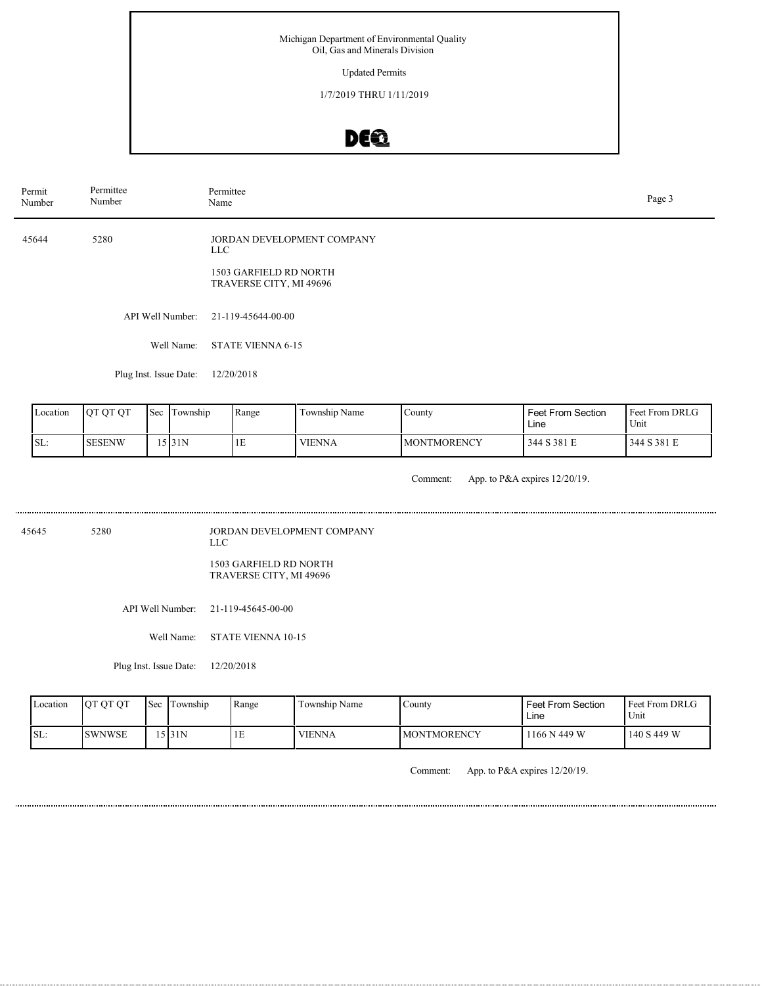Updated Permits

1/7/2019 THRU 1/11/2019

# DEQ

| Permit<br>Number | Permittee<br>Number                                                                                  | Permittee<br>Page 3<br>Name                                                            |                                                        |  |  |  |  |  |
|------------------|------------------------------------------------------------------------------------------------------|----------------------------------------------------------------------------------------|--------------------------------------------------------|--|--|--|--|--|
| 45644            | 5280                                                                                                 | JORDAN DEVELOPMENT COMPANY<br>LLC<br>1503 GARFIELD RD NORTH<br>TRAVERSE CITY, MI 49696 |                                                        |  |  |  |  |  |
|                  | API Well Number:                                                                                     | 21-119-45644-00-00                                                                     |                                                        |  |  |  |  |  |
|                  | Well Name:                                                                                           | <b>STATE VIENNA 6-15</b>                                                               |                                                        |  |  |  |  |  |
|                  | Plug Inst. Issue Date:                                                                               | 12/20/2018                                                                             |                                                        |  |  |  |  |  |
| lar instrumental | $\mathbf{I}_\alpha = \mathbf{I}_\mathbf{m}$ , and $\mathbf{I}_\alpha$<br>$\sim$ $\sim$ $\sim$ $\sim$ | $\mathbf{L}$<br>$m = 11.31$<br>$\sim$ $\sim$<br>$     -$                               | $\mathsf{I}_{\mathbf{E}}$ or $\mathsf{I}_{\mathbf{E}}$ |  |  |  |  |  |

| Location | <b>OT OT OT</b> | l Sec | l'I ownship | Range | Township Name | County              | <b>Feet From Section</b><br>Line | Feet From DRLG<br>Unit |
|----------|-----------------|-------|-------------|-------|---------------|---------------------|----------------------------------|------------------------|
| ISL:     | <b>SESENW</b>   |       | 15 31 N     | ΙE    | VIENNA        | <b>IMONTMORENCY</b> | 344 S 381 E                      | 344 S 381 E            |

Comment: App. to P&A expires 12/20/19.

| 45645 | 5280 | JORDAN DEVELOPMENT COMPANY<br>LL C                |
|-------|------|---------------------------------------------------|
|       |      | 1503 GARFIELD RD NORTH<br>TRAVERSE CITY, MI 49696 |

API Well Number: 21-119-45645-00-00

Well Name: STATE VIENNA 10-15

Plug Inst. Issue Date: 12/20/2018

| Location | <b>OT OT OT</b> | <b>Sec</b> | Township | Range | Township Name | County              | Feet From Section<br>Line | <b>Feet From DRLG</b><br>Unit |
|----------|-----------------|------------|----------|-------|---------------|---------------------|---------------------------|-------------------------------|
| SL:      | <b>SWNWSE</b>   |            | 5131N    | 1E    | <b>VIENNA</b> | <b>IMONTMORENCY</b> | 1166 N 449 W              | 140 S 449 W                   |

Comment: App. to P&A expires 12/20/19.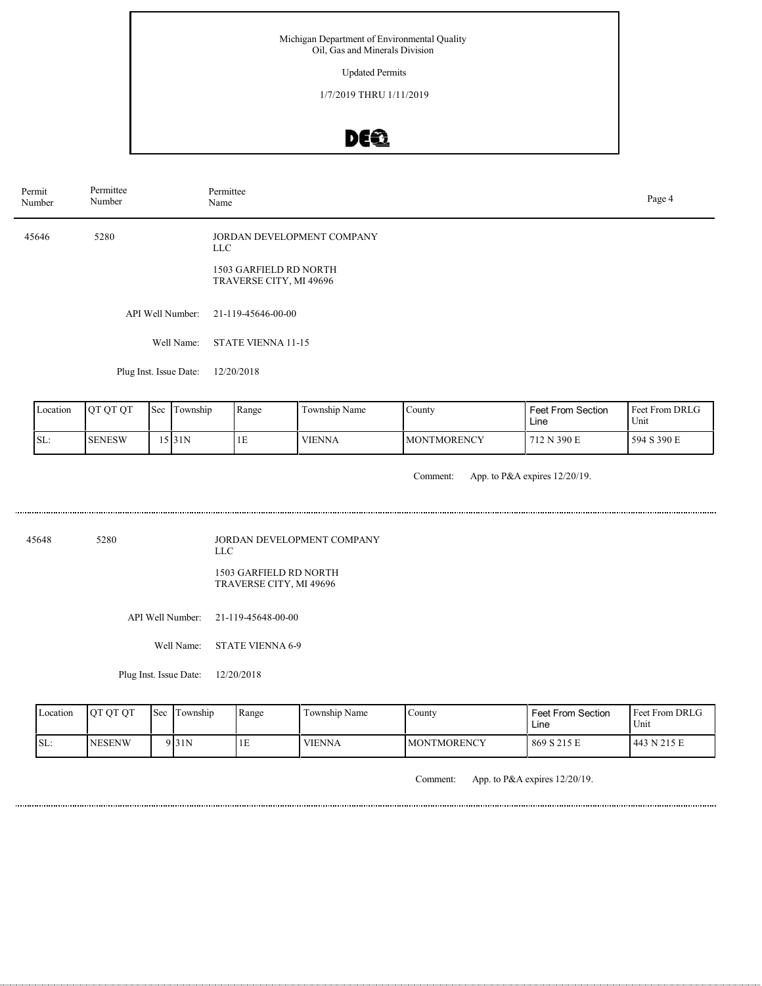#### Updated Permits

1/7/2019 THRU 1/11/2019

# DE®

| Permit<br>Number | Permittee<br>Number    | Permittee<br>Name                                 |  |  |  |  |
|------------------|------------------------|---------------------------------------------------|--|--|--|--|
| 45646            | 5280                   | JORDAN DEVELOPMENT COMPANY<br>LLC                 |  |  |  |  |
|                  |                        | 1503 GARFIELD RD NORTH<br>TRAVERSE CITY, MI 49696 |  |  |  |  |
|                  | API Well Number:       | 21-119-45646-00-00                                |  |  |  |  |
|                  | Well Name:             | STATE VIENNA 11-15                                |  |  |  |  |
|                  | Plug Inst. Issue Date: | 12/20/2018                                        |  |  |  |  |

| Location | <b>OT OT OT</b> | Sec | Township | Range | Township Name | County              | Feet From Section<br>Line | Feet From DRLG<br>Unit |
|----------|-----------------|-----|----------|-------|---------------|---------------------|---------------------------|------------------------|
| SL:      | <b>SENESW</b>   |     | 5 31N    | ΙĿ    | <b>VIENNA</b> | <b>IMONTMORENCY</b> | 712 N 390 E               | 594 S 390 E            |

Comment: App. to P&A expires 12/20/19.

45648 5280

JORDAN DEVELOPMENT COMPANY LLC

1503 GARFIELD RD NORTH TRAVERSE CITY, MI 49696

API Well Number: 21-119-45648-00-00

Well Name: STATE VIENNA 6-9

Plug Inst. Issue Date: 12/20/2018

| Location | <b>OT OT OT</b> | <b>Sec</b> | Township           | Range | $\sim$ $\sim$<br>Township Name | County              | Feet From Section<br>Line | Feet From DRLG<br>Unit |
|----------|-----------------|------------|--------------------|-------|--------------------------------|---------------------|---------------------------|------------------------|
| ISL:     | <b>NESENW</b>   |            | 9 <sub>131</sub> N | 1E    | <b>VIENNA</b>                  | <b>IMONTMORENCY</b> | 869 S 215 E               | 443 N 215 E            |

Comment: App. to P&A expires 12/20/19.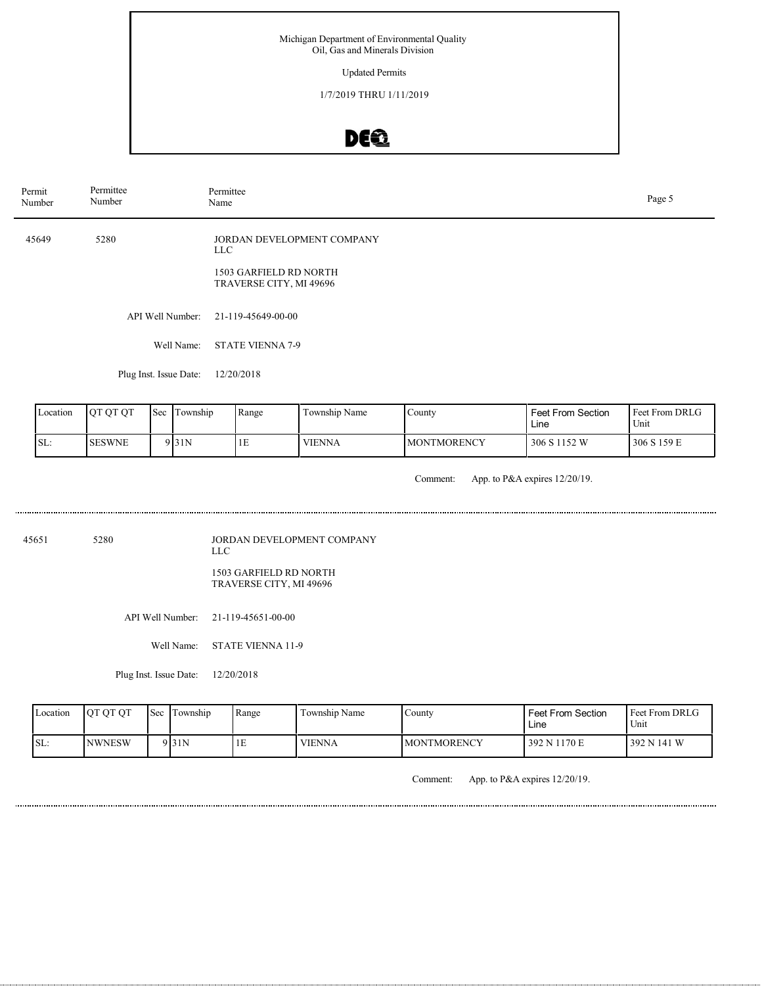Updated Permits

1/7/2019 THRU 1/11/2019

# DEQ

| Permit<br>Number | Permittee<br>Number    | Permittee<br>Name                                                                      | Page 5 |
|------------------|------------------------|----------------------------------------------------------------------------------------|--------|
| 45649            | 5280                   | JORDAN DEVELOPMENT COMPANY<br>LLC<br>1503 GARFIELD RD NORTH<br>TRAVERSE CITY, MI 49696 |        |
|                  | API Well Number:       | 21-119-45649-00-00                                                                     |        |
|                  | Well Name:             | <b>STATE VIENNA 7-9</b>                                                                |        |
|                  | Plug Inst. Issue Date: | 12/20/2018                                                                             |        |
|                  |                        |                                                                                        |        |

|      | Location | <b>OT OT OT</b> | $\text{Sec}$ | l Township | Range | Township Name | County              | Feet From Section<br>Line | <b>Feet From DRLG</b><br>Unit |
|------|----------|-----------------|--------------|------------|-------|---------------|---------------------|---------------------------|-------------------------------|
| ISL: |          | <b>SESWNE</b>   |              | 9 31 N     | ТF    | <b>VIENNA</b> | <b>IMONTMORENCY</b> | 306 S 1152 W              | 1306 S 159 E                  |

Comment: App. to P&A expires 12/20/19.

45651 5280

JORDAN DEVELOPMENT COMPANY LLC

1503 GARFIELD RD NORTH TRAVERSE CITY, MI 49696

API Well Number: 21-119-45651-00-00

Well Name: STATE VIENNA 11-9

Plug Inst. Issue Date: 12/20/2018

| Location | <b>OT OT OT</b> | <b>Sec</b> | Township | Range | $\cdots$<br>Township Name | County              | <b>Feet From Section</b><br>Line | Feet From DRLG<br>Unit |
|----------|-----------------|------------|----------|-------|---------------------------|---------------------|----------------------------------|------------------------|
| SL:      | <b>NWNESW</b>   |            | 9 31 N   | ΙE    | <b>VIENNA</b>             | <b>IMONTMORENCY</b> | 392 N 1170 E                     | 392 N 141 W            |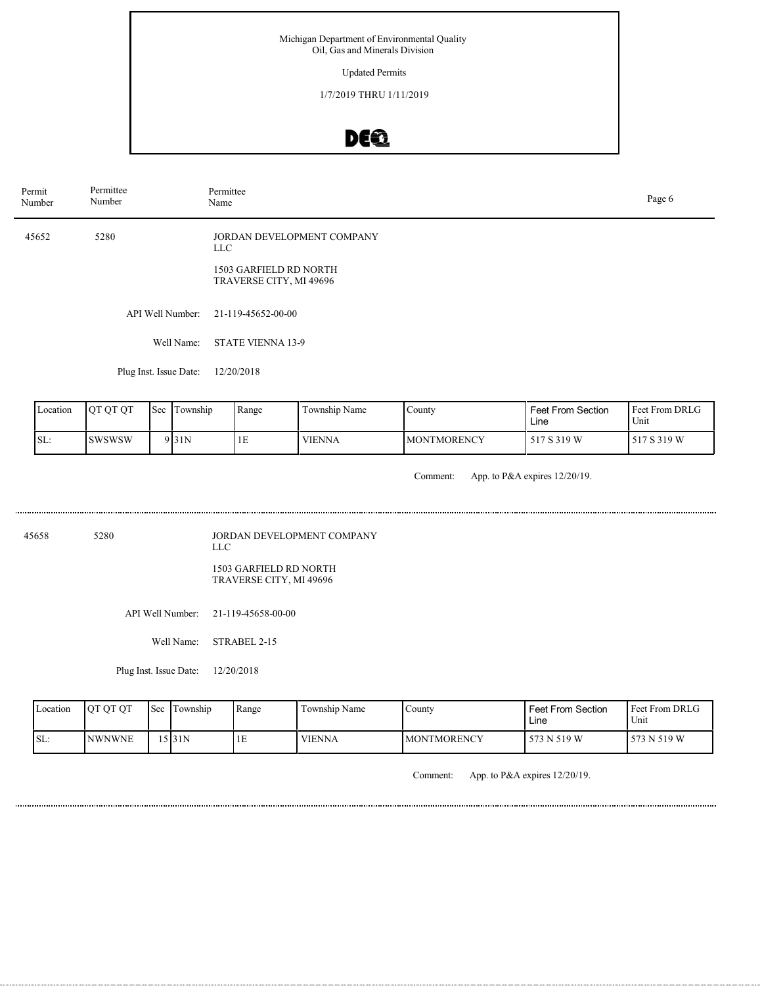#### Updated Permits

1/7/2019 THRU 1/11/2019

# DEQ

| Permit | Number           | Permittee<br>Number    |  | Permittee<br>Name |                                                   |                            |        |                           | Page 6                 |
|--------|------------------|------------------------|--|-------------------|---------------------------------------------------|----------------------------|--------|---------------------------|------------------------|
|        | 45652            | 5280                   |  | LLC               | 1503 GARFIELD RD NORTH<br>TRAVERSE CITY, MI 49696 | JORDAN DEVELOPMENT COMPANY |        |                           |                        |
|        | API Well Number: |                        |  |                   | 21-119-45652-00-00                                |                            |        |                           |                        |
|        |                  |                        |  | Well Name:        | <b>STATE VIENNA 13-9</b>                          |                            |        |                           |                        |
|        |                  | Plug Inst. Issue Date: |  |                   | 12/20/2018                                        |                            |        |                           |                        |
|        | Location         | QT QT QT               |  | Sec Township      | Range                                             | Township Name              | County | Feet From Section<br>Line | Feet From DRLG<br>Unit |

Comment: App. to P&A expires 12/20/19.

**MONTMORENCY** 

517 S 319 W 517 S 319 W

45658 5280

SL: SWSWSW

JORDAN DEVELOPMENT COMPANY LLC

1503 GARFIELD RD NORTH TRAVERSE CITY, MI 49696

 $9 \vert 31N$  1E VIENNA

API Well Number: 21-119-45658-00-00

Well Name: STRABEL 2-15

Plug Inst. Issue Date: 12/20/2018

| Location | <b>OT OT OT</b> | Sec | l Township | Range   | Township Name | Countv             | <b>Feet From Section</b><br>Line | Feet From DRLG<br><sup>1</sup> Unit |
|----------|-----------------|-----|------------|---------|---------------|--------------------|----------------------------------|-------------------------------------|
| SL:      | <b>INWNWNE</b>  |     | 5 3 1 N    | .<br>ΙE | <b>VIENNA</b> | <b>MONTMORENCY</b> | 573 N 519 W                      | 573 N 519 W                         |

Comment: App. to P&A expires 12/20/19.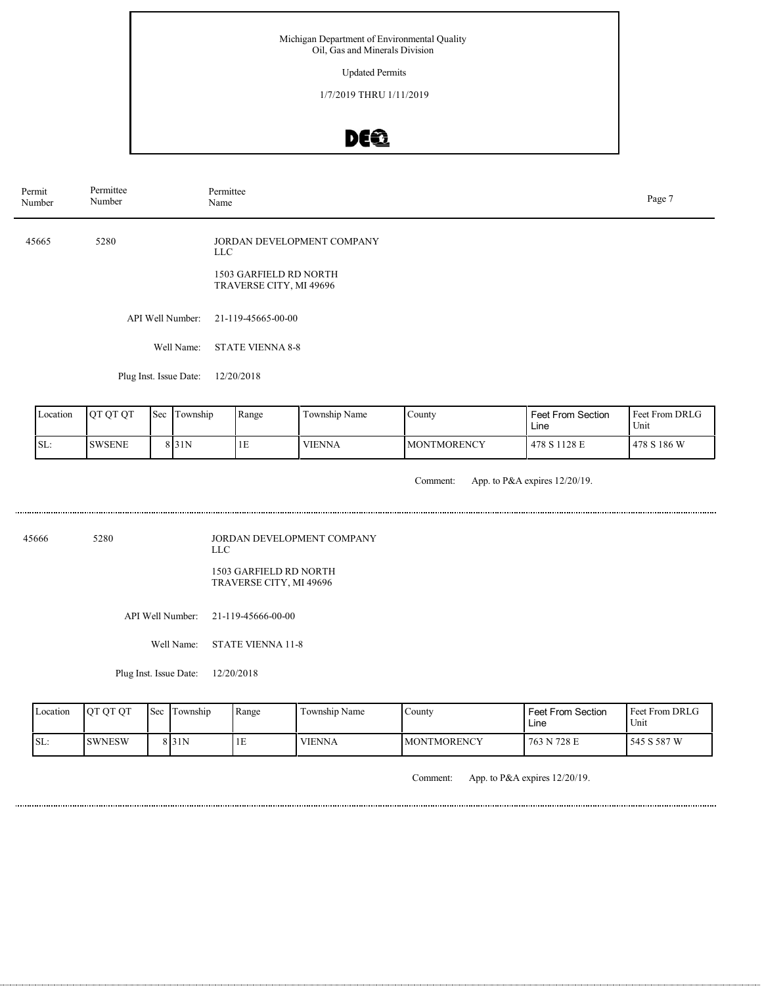Updated Permits

1/7/2019 THRU 1/11/2019

# DEQ

| Permit<br>Number | Permittee<br>Number    | Permittee<br>Name                                                                      | Page 7 |
|------------------|------------------------|----------------------------------------------------------------------------------------|--------|
| 45665            | 5280                   | JORDAN DEVELOPMENT COMPANY<br>LLC<br>1503 GARFIELD RD NORTH<br>TRAVERSE CITY, MI 49696 |        |
|                  | API Well Number:       | 21-119-45665-00-00                                                                     |        |
|                  | Well Name:             | <b>STATE VIENNA 8-8</b>                                                                |        |
|                  | Plug Inst. Issue Date: | 12/20/2018                                                                             |        |
|                  |                        |                                                                                        |        |

| Location | <b>OT OT OT</b> | 'Sec | l Township | Range | Township Name | County             | <b>Feet From Section</b><br>Line | <b>Feet From DRLG</b><br>Unit |
|----------|-----------------|------|------------|-------|---------------|--------------------|----------------------------------|-------------------------------|
| SL:      | <b>SWSENE</b>   |      | 8 I 31 N   | ŦЕ    | <b>VIENNA</b> | <b>MONTMORENCY</b> | 478 S 1128 E                     | 1478 S 186 W                  |

Comment: App. to P&A expires 12/20/19.

45666 5280

JORDAN DEVELOPMENT COMPANY LLC

1503 GARFIELD RD NORTH TRAVERSE CITY, MI 49696

API Well Number: 21-119-45666-00-00

Well Name: STATE VIENNA 11-8

Plug Inst. Issue Date: 12/20/2018

| Location | <b>OT OT OT</b> | <b>Sec</b> | l'Township | Range | Township Name | County              | Feet From Section<br>Line | Feet From DRLG<br>Unit |
|----------|-----------------|------------|------------|-------|---------------|---------------------|---------------------------|------------------------|
| ISL:     | <b>SWNESW</b>   |            | 8 I 31 N   | ΙĿ    | <b>VIENNA</b> | <b>IMONTMORENCY</b> | 763 N 728 E               | 545 S 587 W            |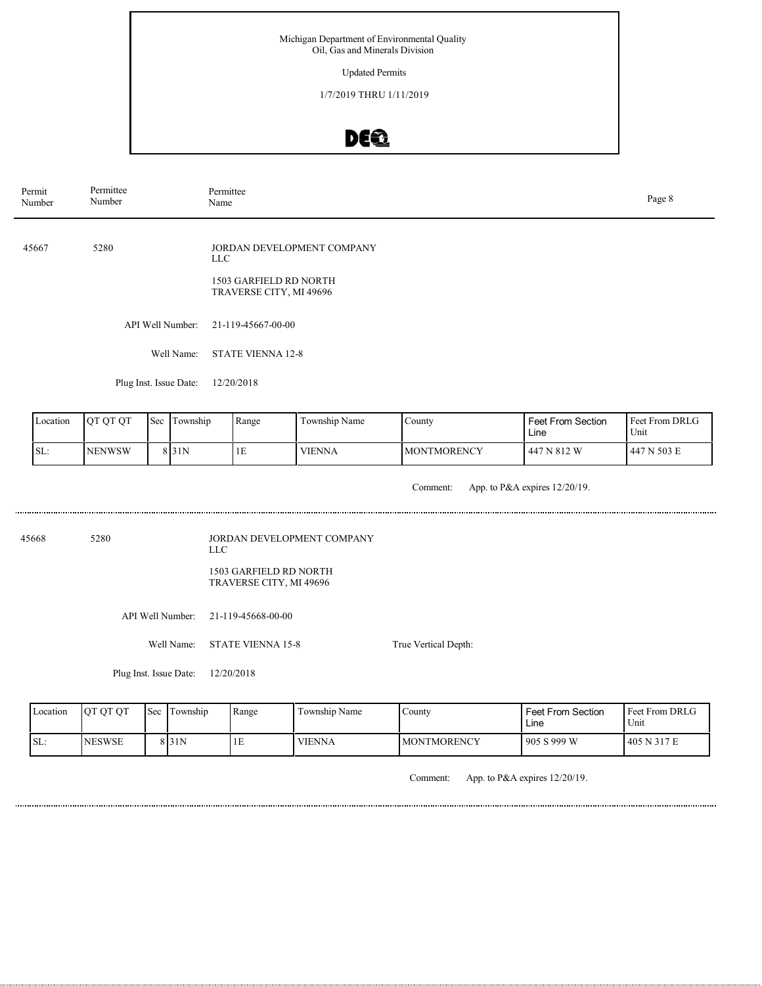Updated Permits

1/7/2019 THRU 1/11/2019

# DEQ

| Permit<br>Number       | Permittee<br>Number |     |                                | Permittee<br>Name                                               |                            |                      |                               | Page 8                 |  |
|------------------------|---------------------|-----|--------------------------------|-----------------------------------------------------------------|----------------------------|----------------------|-------------------------------|------------------------|--|
| 45667                  | 5280                |     |                                | <b>LLC</b><br>1503 GARFIELD RD NORTH<br>TRAVERSE CITY, MI 49696 | JORDAN DEVELOPMENT COMPANY |                      |                               |                        |  |
|                        |                     |     | API Well Number:<br>Well Name: | 21-119-45667-00-00<br><b>STATE VIENNA 12-8</b><br>12/20/2018    |                            |                      |                               |                        |  |
| Plug Inst. Issue Date: |                     |     |                                |                                                                 |                            |                      |                               |                        |  |
| Location               | QT QT QT            | Sec | Township                       | Range                                                           | Township Name              | County               | Feet From Section<br>Line     | Feet From DRLG<br>Unit |  |
| SL:                    | <b>NENWSW</b>       |     | 8 31N                          | 1E                                                              | <b>VIENNA</b>              | <b>MONTMORENCY</b>   | 447 N 812 W                   | 447 N 503 E            |  |
|                        |                     |     |                                |                                                                 |                            | Comment:             | App. to P&A expires 12/20/19. |                        |  |
| 45668                  | 5280                |     |                                | <b>LLC</b>                                                      | JORDAN DEVELOPMENT COMPANY |                      |                               |                        |  |
|                        |                     |     |                                | 1503 GARFIELD RD NORTH<br>TRAVERSE CITY, MI 49696               |                            |                      |                               |                        |  |
|                        | API Well Number:    |     |                                | 21-119-45668-00-00                                              |                            |                      |                               |                        |  |
|                        | Well Name:          |     |                                | <b>STATE VIENNA 15-8</b>                                        |                            | True Vertical Depth: |                               |                        |  |

Plug Inst. Issue Date: 12/20/2018

| Location | <b>OT OT OT</b> | Sec Township     | Range | Township Name | County              | Feet From Section<br>Line | <b>Feet From DRLG</b><br>Unit |
|----------|-----------------|------------------|-------|---------------|---------------------|---------------------------|-------------------------------|
| 'SL:     | <b>NESWSE</b>   | 8 <sub>31N</sub> | 1E    | <b>VIENNA</b> | <b>IMONTMORENCY</b> | 905 S 999 W               | 1405 N 317 E                  |

Comment: App. to P&A expires 12/20/19.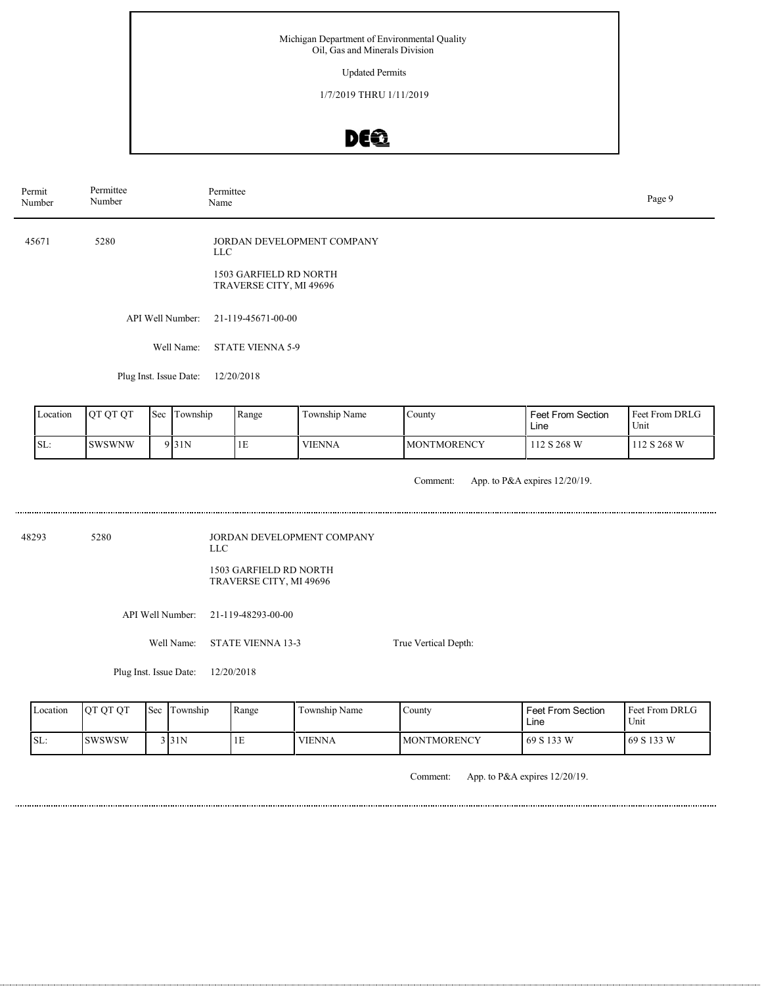Updated Permits

1/7/2019 THRU 1/11/2019

# DE®

| Permit<br>Number                          | Permittee<br>Number                   |     | Name             | Permittee                                         |                            |                    |                           |                        |  |
|-------------------------------------------|---------------------------------------|-----|------------------|---------------------------------------------------|----------------------------|--------------------|---------------------------|------------------------|--|
| 45671                                     | 5280                                  |     | <b>LLC</b>       |                                                   | JORDAN DEVELOPMENT COMPANY |                    |                           |                        |  |
|                                           |                                       |     |                  | 1503 GARFIELD RD NORTH<br>TRAVERSE CITY, MI 49696 |                            |                    |                           |                        |  |
|                                           |                                       |     | API Well Number: | 21-119-45671-00-00                                |                            |                    |                           |                        |  |
|                                           | Well Name:<br><b>STATE VIENNA 5-9</b> |     |                  |                                                   |                            |                    |                           |                        |  |
|                                           |                                       |     |                  | 12/20/2018                                        |                            |                    |                           |                        |  |
| Location                                  | QT QT QT                              | Sec | Township         | Range                                             | Township Name              | County             | Feet From Section<br>Line | Feet From DRLG<br>Unit |  |
| SL:                                       | <b>SWSWNW</b>                         |     |                  | 1E                                                | <b>VIENNA</b>              | <b>MONTMORENCY</b> | 112 S 268 W               | 112 S 268 W            |  |
| App. to P&A expires 12/20/19.<br>Comment: |                                       |     |                  |                                                   |                            |                    |                           |                        |  |
| Plug Inst. Issue Date:<br>9 31N           |                                       |     |                  |                                                   |                            |                    |                           |                        |  |

48293 5280 JORDAN DEVELOPMENT COMPANY LLC

1503 GARFIELD RD NORTH TRAVERSE CITY, MI 49696

API Well Number: 21-119-48293-00-00

Well Name: STATE VIENNA 13-3

Plug Inst. Issue Date: 12/20/2018

True Vertical Depth:

| Location | OT OT<br><b>IOT</b> | <b>Sec</b> | l'I ownship | Range | Township Name | Countv             | <b>Feet From Section</b><br>∟ine | <b>Feet From DRLG</b><br>Unit |
|----------|---------------------|------------|-------------|-------|---------------|--------------------|----------------------------------|-------------------------------|
| ISL:     | <b>SWSWSW</b>       |            | 3 31N       | IЕ    | <b>VIENNA</b> | <b>MONTMORENCY</b> | 69 S 133 W                       | 169 S 133 W                   |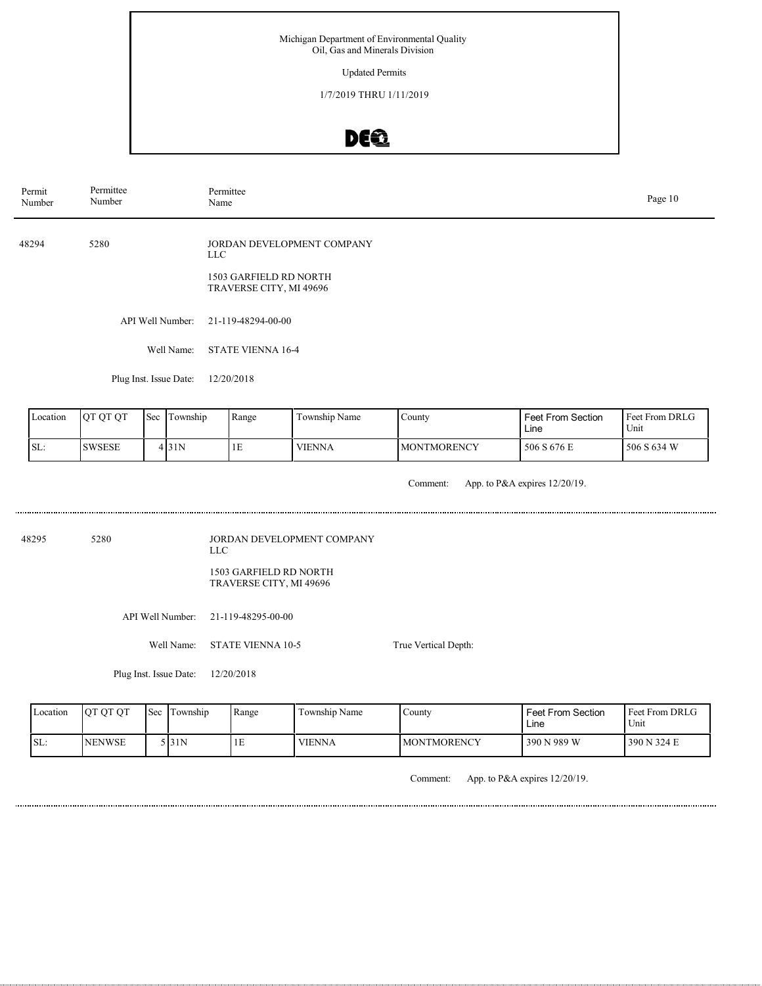Updated Permits

1/7/2019 THRU 1/11/2019

# DEQ

| Permit<br>Number                     | Permittee<br>Number |  | Permittee<br>Name |                                                            |                            |        |                   | Page 10        |
|--------------------------------------|---------------------|--|-------------------|------------------------------------------------------------|----------------------------|--------|-------------------|----------------|
| 48294                                | 5280                |  |                   | LLC .<br>1503 GARFIELD RD NORTH<br>TRAVERSE CITY, MI 49696 | JORDAN DEVELOPMENT COMPANY |        |                   |                |
|                                      |                     |  | API Well Number:  | 21-119-48294-00-00                                         |                            |        |                   |                |
|                                      |                     |  | Well Name:        | <b>STATE VIENNA 16-4</b>                                   |                            |        |                   |                |
| Plug Inst. Issue Date:<br>12/20/2018 |                     |  |                   |                                                            |                            |        |                   |                |
| Location                             | QT QT QT            |  | Sec Township      | Range                                                      | Township Name              | County | Feet From Section | Feet From DRLG |

| Location | <b>OT OT OT</b> | 'Sec | : Township | Range | Township Name | County              | <b>Feet From Section</b><br>Line | Feet From DRLG<br>Unit |
|----------|-----------------|------|------------|-------|---------------|---------------------|----------------------------------|------------------------|
| SL:      | <b>SWSESE</b>   |      | 4131N      | 1E    | <b>VIENNA</b> | <b>IMONTMORENCY</b> | 506 S 676 E                      | 506 S 634 W            |

Comment: App. to P&A expires 12/20/19.

48295 5280

JORDAN DEVELOPMENT COMPANY LLC

1503 GARFIELD RD NORTH TRAVERSE CITY, MI 49696

API Well Number: 21-119-48295-00-00

Well Name: STATE VIENNA 10-5

Plug Inst. Issue Date: 12/20/2018

True Vertical Depth:

| Location | <b>OT OT OT</b> | <b>Sec</b> | Township | Range | Township Name | County              | Feet From Section<br>Line | <b>Feet From DRLG</b><br>Unit |
|----------|-----------------|------------|----------|-------|---------------|---------------------|---------------------------|-------------------------------|
| SL:      | <b>NENWSE</b>   |            | 5 I 31 N | ΙE    | <b>VIENNA</b> | <b>IMONTMORENCY</b> | 390 N 989 W               | 390 N 324 E                   |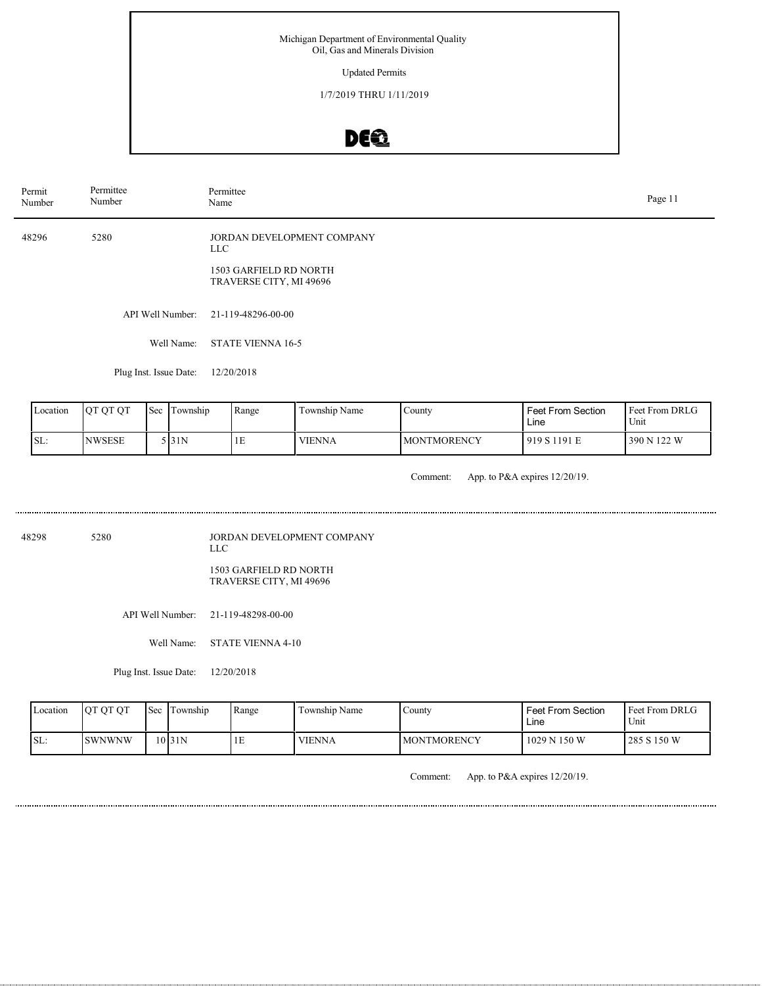Updated Permits

1/7/2019 THRU 1/11/2019

# DEQ

| Permit<br>Number | Permittee<br>Number    | Permittee<br>Name |                                                   |                            |        |                   | Page 11        |
|------------------|------------------------|-------------------|---------------------------------------------------|----------------------------|--------|-------------------|----------------|
| 48296            | 5280                   | LLC .             | 1503 GARFIELD RD NORTH<br>TRAVERSE CITY, MI 49696 | JORDAN DEVELOPMENT COMPANY |        |                   |                |
|                  | API Well Number:       |                   | 21-119-48296-00-00                                |                            |        |                   |                |
|                  | Well Name:             |                   | <b>STATE VIENNA 16-5</b>                          |                            |        |                   |                |
|                  | Plug Inst. Issue Date: |                   | 12/20/2018                                        |                            |        |                   |                |
| Location         | QT QT QT<br>Sec        | Township          | Range                                             | Township Name              | County | Feet From Section | Feet From DRLG |

| TOIT | TVI VI VI      | <b>TOUL LOWISHIN</b> | TRAILEC | TOWIISHID INAHIV | i County           | ווטווים שפטונוסו<br>Lıne | <b>IT CONTROLL DIVE OF</b><br>Unit |
|------|----------------|----------------------|---------|------------------|--------------------|--------------------------|------------------------------------|
|      | <b>INWSESE</b> | 131N                 | ندد     | <b>VIENNA</b>    | <b>MONTMORENCY</b> | 919 S 1191 E             | 390 N 122 W                        |

Comment: App. to P&A expires 12/20/19.

48298 5280 JORDAN DEVELOPMENT COMPANY LLC

 $SL:$ 

1503 GARFIELD RD NORTH TRAVERSE CITY, MI 49696

API Well Number: 21-119-48298-00-00

Well Name: STATE VIENNA 4-10

Plug Inst. Issue Date: 12/20/2018

| Location | <b>OT OT OT</b> | <b>Sec</b> | Township | Range | Township Name | County             | <b>Feet From Section</b><br>Line | <b>Feet From DRLG</b><br>Unit |
|----------|-----------------|------------|----------|-------|---------------|--------------------|----------------------------------|-------------------------------|
| SL:      | <b>SWNWNW</b>   |            | 10 31N   | ΙE    | <b>VIENNA</b> | <b>MONTMORENCY</b> | 1029 N 150 W                     | 285 S 150 W                   |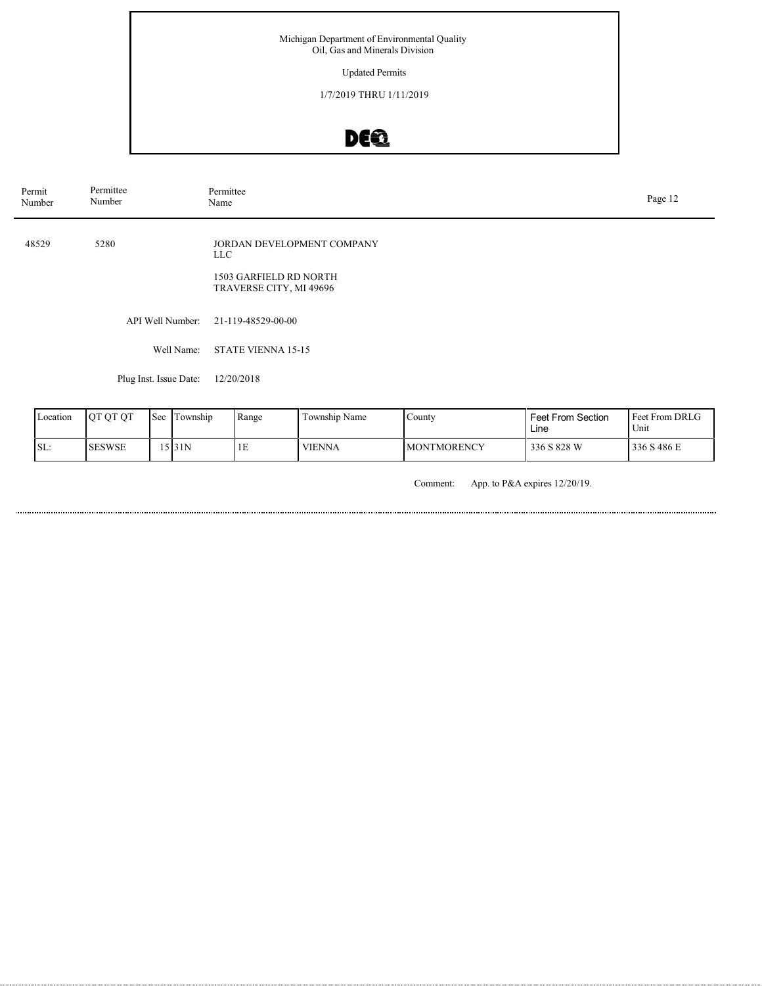### Updated Permits

1/7/2019 THRU 1/11/2019

# DE®

| Permit<br>Number | Permittee<br>Number    | Permittee<br>Name                                                                      | Page 12 |
|------------------|------------------------|----------------------------------------------------------------------------------------|---------|
| 48529            | 5280                   | JORDAN DEVELOPMENT COMPANY<br>LLC<br>1503 GARFIELD RD NORTH<br>TRAVERSE CITY, MI 49696 |         |
|                  | API Well Number:       | 21-119-48529-00-00                                                                     |         |
|                  | Well Name:             | <b>STATE VIENNA 15-15</b>                                                              |         |
|                  | Plug Inst. Issue Date: | 12/20/2018                                                                             |         |

| Location | <b>OT OT OT</b> | 'Sec | l Township | Range | Township Name | County              | Feet From Section<br>Line | <b>Feet From DRLG</b><br>Unit |
|----------|-----------------|------|------------|-------|---------------|---------------------|---------------------------|-------------------------------|
| SL:      | ISESWSE         |      | .5 3 1 N   | 1E    | <b>VIENNA</b> | <b>IMONTMORENCY</b> | 336 S 828 W               | 336 S 486 E                   |

Comment: App. to P&A expires 12/20/19.

. . . . . . .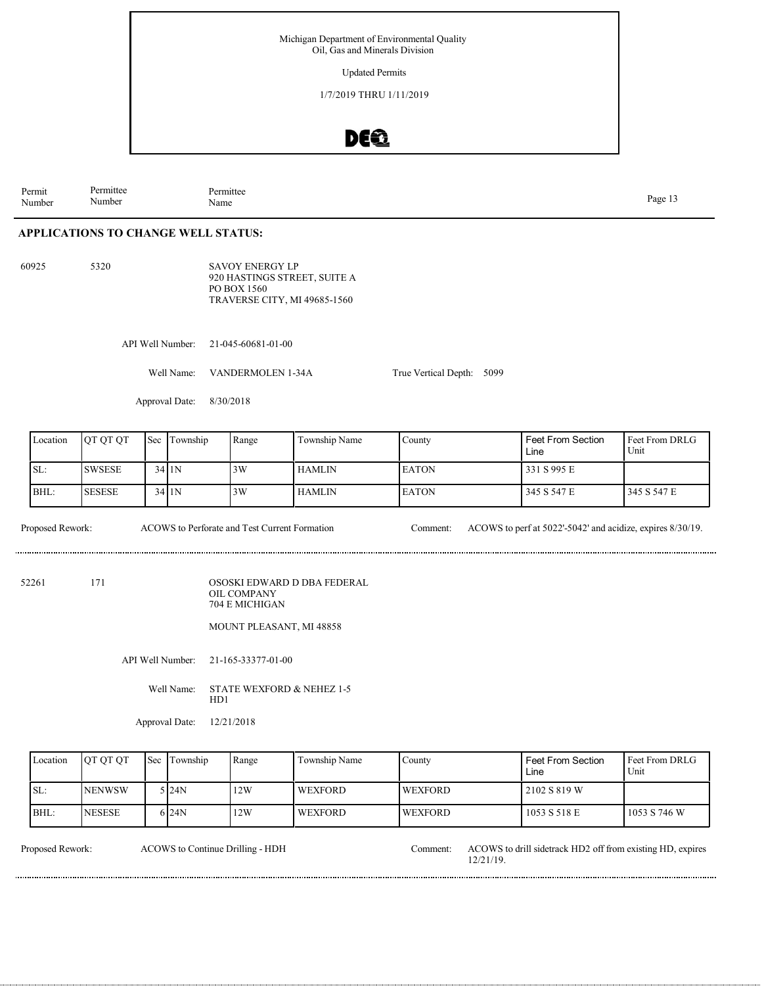Updated Permits

1/7/2019 THRU 1/11/2019

### DE®

Permit Number Permittee Number Permittee Page 13<br>Name Page 13

### **APPLICATIONS TO CHANGE WELL STATUS:**

60925 5320

SAVOY ENERGY LP 920 HASTINGS STREET, SUITE A PO BOX 1560 TRAVERSE CITY, MI 49685-1560

API Well Number: 21-045-60681-01-00

Well Name: VANDERMOLEN 1-34A

Approval Date: 8/30/2018

| Location | OT OT OT       | <b>Sec</b> | Township | Range | Township Name | County        | <b>Feet From Section</b><br>Line | <b>Feet From DRLG</b><br>Unit |
|----------|----------------|------------|----------|-------|---------------|---------------|----------------------------------|-------------------------------|
| SL:      | <b>ISWSESE</b> |            | $34$  1N | 3W    | <b>HAMLIN</b> | <b>LEATON</b> | 331 S 995 E                      |                               |
| BHL:     | <b>SESESE</b>  |            | 3411N    | 3W    | <b>HAMLIN</b> | <b>IEATON</b> | 345 S 547 E                      | 1345 S 547 E                  |

True Vertical Depth: 5099

ACOWS to Perforate and Test Current Formation

Proposed Rework: ACOWS to Perforate and Test Current Formation Comment: ACOWS to perf at 5022'-5042' and acidize, expires 8/30/19.

52261 171

OSOSKI EDWARD D DBA FEDERAL OIL COMPANY 704 E MICHIGAN

MOUNT PLEASANT, MI 48858

API Well Number: 21-165-33377-01-00

Well Name: STATE WEXFORD & NEHEZ 1-5 HD1

Approval Date: 12/21/2018

| Location | <b>OT OT OT</b> | <b>Sec</b> | Township | Range | Township Name  | County          | <b>Feet From Section</b><br>Line | <b>I Feet From DRLG</b><br>Unit |
|----------|-----------------|------------|----------|-------|----------------|-----------------|----------------------------------|---------------------------------|
| SL:      | <b>NENWSW</b>   |            | 5 24N    | 12W   | <b>WEXFORD</b> | <b>IWEXFORD</b> | 2102 S 819 W                     |                                 |
| BHL:     | <b>NESESE</b>   |            | 6 24 N   | 12W   | <b>WEXFORD</b> | <b>WEXFORD</b>  | 1053 S 518 E                     | 1053 S 746 W                    |

ACOWS to Continue Drilling - HDH

Proposed Rework: ACOWS to drill sidetrack HD2 off from existing HD, expires 12/21/19.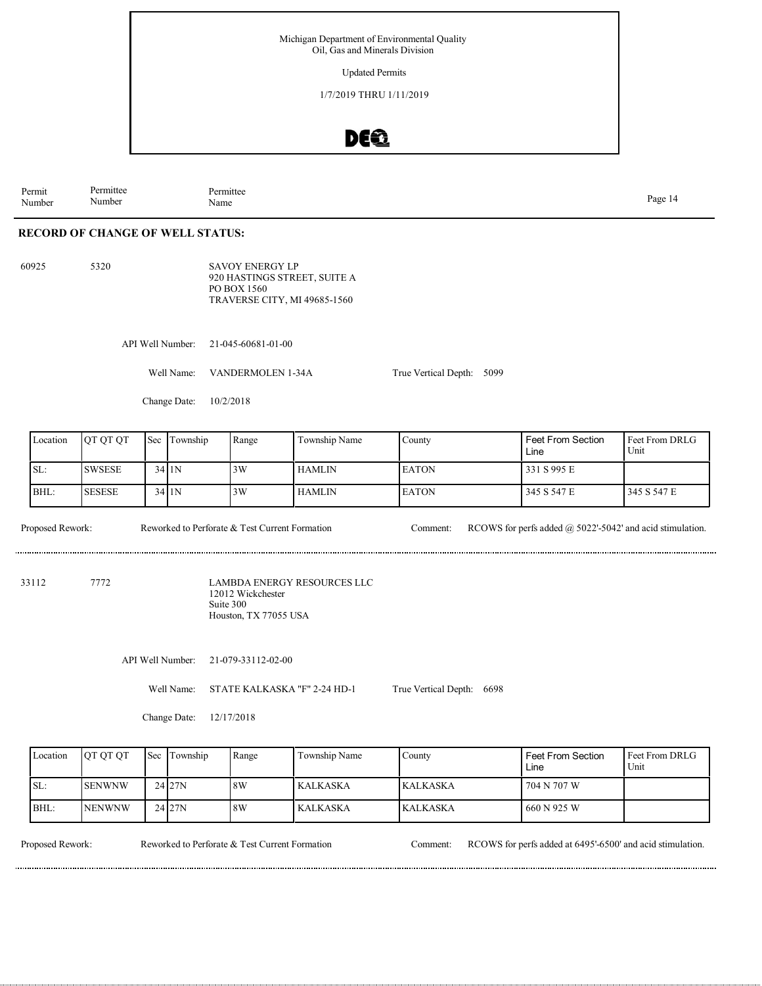Updated Permits

1/7/2019 THRU 1/11/2019

### DE®

Permit Number Permittee Number Permittee Name Page 14

### **RECORD OF CHANGE OF WELL STATUS:**

60925 5320

SAVOY ENERGY LP 920 HASTINGS STREET, SUITE A PO BOX 1560 TRAVERSE CITY, MI 49685-1560

API Well Number: 21-045-60681-01-00

Well Name: VANDERMOLEN 1-34A

Change Date: 10/2/2018

| Location | OT OT OT      | Sec | Township | Range | Township Name | County        | <b>Feet From Section</b><br>Line | <b>Feet From DRLG</b><br>Unit |
|----------|---------------|-----|----------|-------|---------------|---------------|----------------------------------|-------------------------------|
| SL:      | <b>SWSESE</b> |     | 34 I 1 N | 3W    | <b>HAMLIN</b> | <b>LEATON</b> | 331 S 995 E                      |                               |
| BHL:     | <b>SESESE</b> |     | 34 I 1 N | 3W    | <b>HAMLIN</b> | <b>IEATON</b> | 345 S 547 E                      | 345 S 547 E                   |

True Vertical Depth: 5099

Reworked to Perforate & Test Current Formation

Proposed Rework: Reworked to Perforate & Test Current Formation Comment: RCOWS for perfs added @ 5022'-5042' and acid stimulation.

33112 7772

LAMBDA ENERGY RESOURCES LLC 12012 Wickchester Suite 300 Houston, TX 77055 USA

API Well Number: 21-079-33112-02-00

Well Name: STATE KALKASKA "F" 2-24 HD-1 True Vertical Depth: 6698

Change Date: 12/17/2018

| Location | <b>OT OT OT</b> | <b>Sec</b> | Township | Range | Township Name | County          | <b>Feet From Section</b><br>Line | l Feet From DRLG<br>Unit |
|----------|-----------------|------------|----------|-------|---------------|-----------------|----------------------------------|--------------------------|
| SL:      | <b>ISENWNW</b>  |            | 24127N   | 8W    | KALKASKA      | <b>KALKASKA</b> | 704 N 707 W                      |                          |
| BHL:     | <b>NENWNW</b>   |            | 24127N   | 8W    | KALKASKA      | <b>KALKASKA</b> | 660 N 925 W                      |                          |

Reworked to Perforate & Test Current Formation

Proposed Rework: Reworked to Perforate & Test Current Formation Comment: RCOWS for perfs added at 6495'-6500' and acid stimulation.